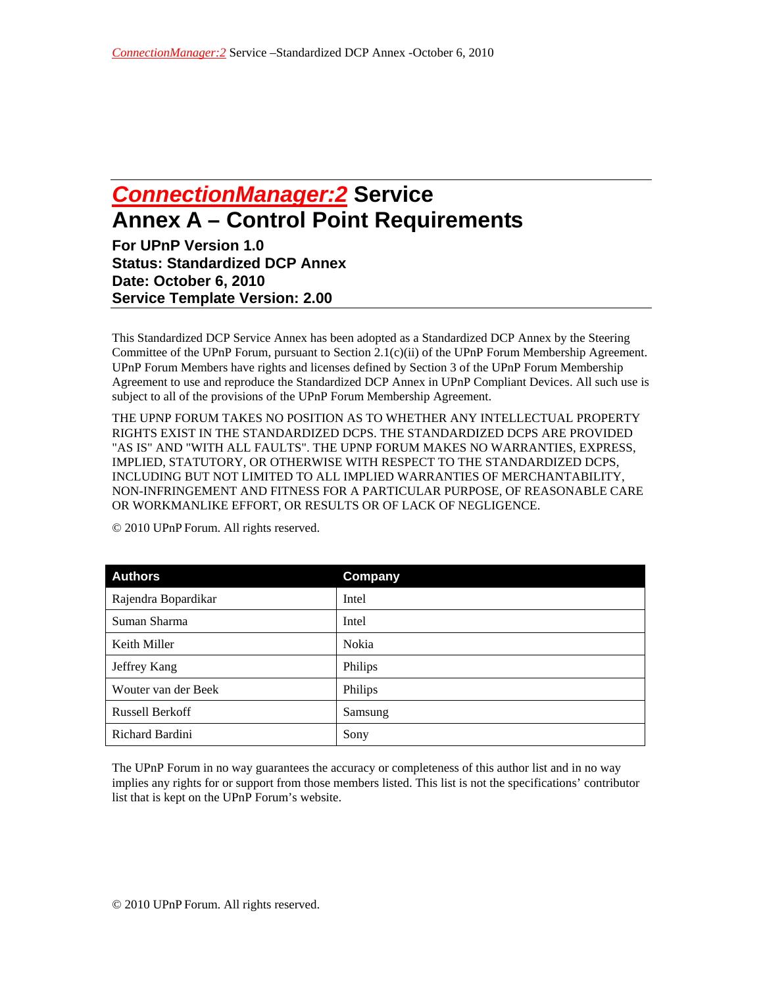## *ConnectionManager:2* **Service Annex A – Control Point Requirements**

**For UPnP Version 1.0 Status: Standardized DCP Annex Date: October 6, 2010 Service Template Version: 2.00** 

This Standardized DCP Service Annex has been adopted as a Standardized DCP Annex by the Steering Committee of the UPnP Forum, pursuant to Section 2.1(c)(ii) of the UPnP Forum Membership Agreement. UPnP Forum Members have rights and licenses defined by Section 3 of the UPnP Forum Membership Agreement to use and reproduce the Standardized DCP Annex in UPnP Compliant Devices. All such use is subject to all of the provisions of the UPnP Forum Membership Agreement.

THE UPNP FORUM TAKES NO POSITION AS TO WHETHER ANY INTELLECTUAL PROPERTY RIGHTS EXIST IN THE STANDARDIZED DCPS. THE STANDARDIZED DCPS ARE PROVIDED "AS IS" AND "WITH ALL FAULTS". THE UPNP FORUM MAKES NO WARRANTIES, EXPRESS, IMPLIED, STATUTORY, OR OTHERWISE WITH RESPECT TO THE STANDARDIZED DCPS, INCLUDING BUT NOT LIMITED TO ALL IMPLIED WARRANTIES OF MERCHANTABILITY, NON-INFRINGEMENT AND FITNESS FOR A PARTICULAR PURPOSE, OF REASONABLE CARE OR WORKMANLIKE EFFORT, OR RESULTS OR OF LACK OF NEGLIGENCE.

| <b>Authors</b>         | Company |
|------------------------|---------|
| Rajendra Bopardikar    | Intel   |
| Suman Sharma           | Intel   |
| Keith Miller           | Nokia   |
| Jeffrey Kang           | Philips |
| Wouter van der Beek    | Philips |
| <b>Russell Berkoff</b> | Samsung |
| Richard Bardini        | Sony    |

© 2010 UPnP Forum. All rights reserved.

The UPnP Forum in no way guarantees the accuracy or completeness of this author list and in no way implies any rights for or support from those members listed. This list is not the specifications' contributor list that is kept on the UPnP Forum's website.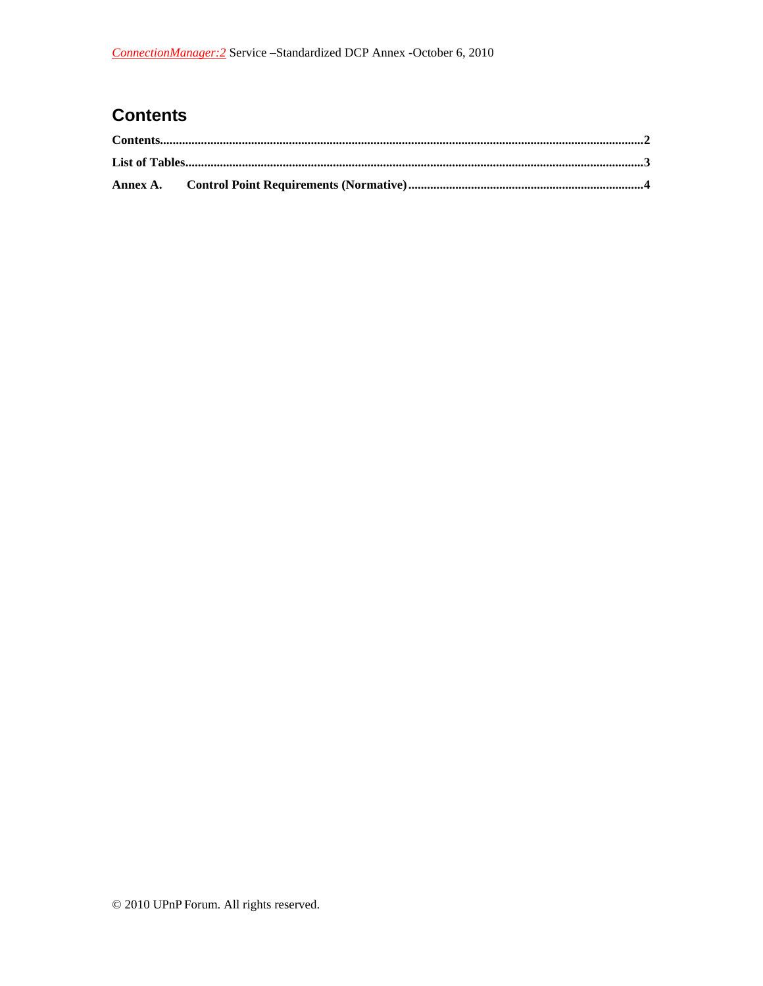## **Contents**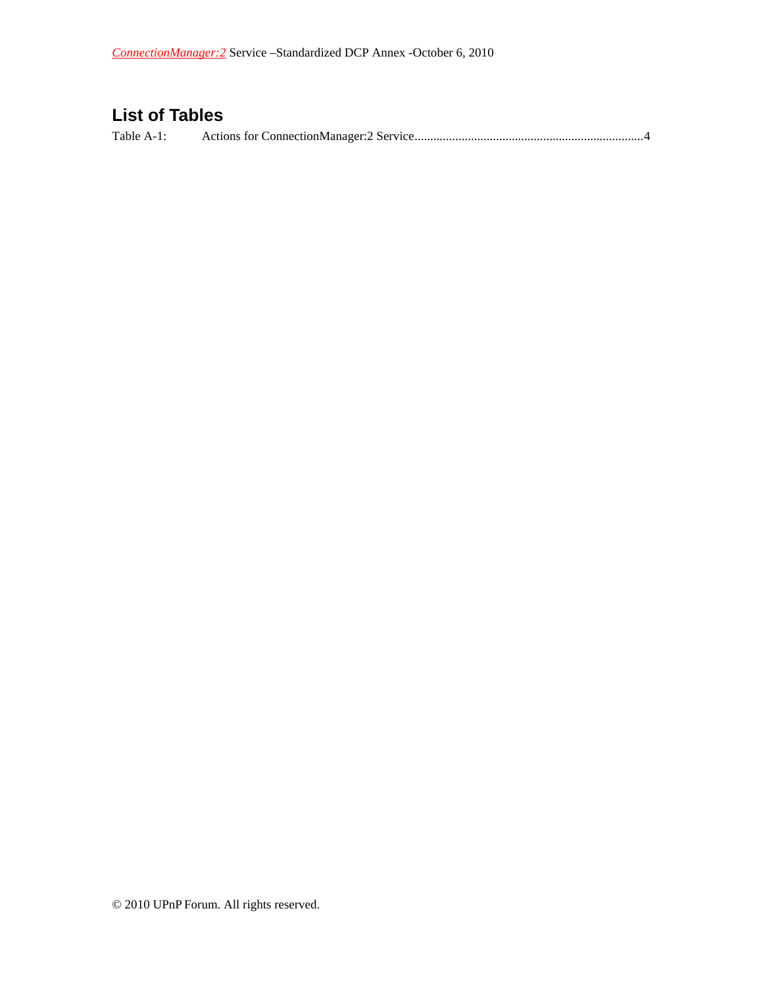## **List of Tables**

Table A-1: Actions for ConnectionManager:2 Service ......................................................................... 4